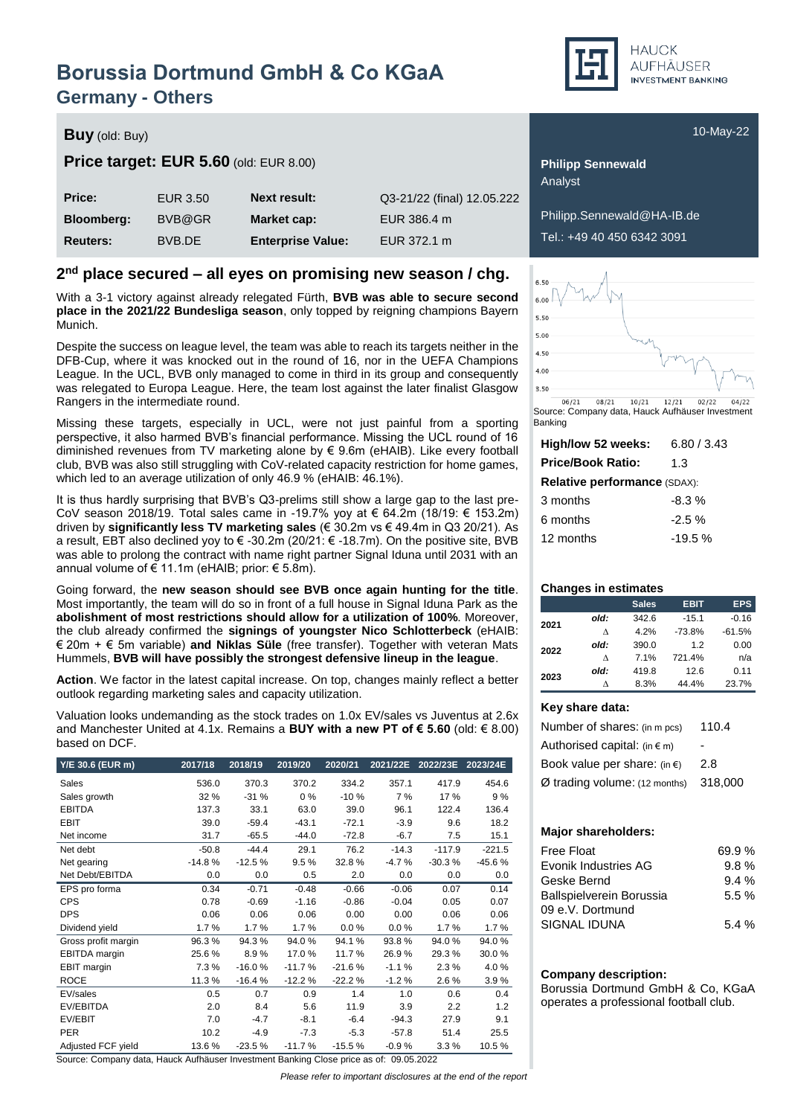## **Borussia Dortmund GmbH & Co KGaA Germany - Others**

**HAUCK** AUFHÄUSER **INVESTMENT BANKING** 

### **Buy** (old: Buy) **Buy** (old: Buy) **10-May-22**

### **Price target:** EUR 5.60 (old: EUR 8.00) **Philipp Sennewald**

| Price:            | EUR 3.50 | <b>Next result:</b>      | Q3-21/22 (final) 12.05.222 |
|-------------------|----------|--------------------------|----------------------------|
| <b>Bloomberg:</b> | BVB@GR   | Market cap:              | EUR 386.4 m                |
| <b>Reuters:</b>   | BVB.DE   | <b>Enterprise Value:</b> | EUR 372.1 m                |

### **2 nd place secured – all eyes on promising new season / chg.**

With a 3-1 victory against already relegated Fürth, **BVB was able to secure second place in the 2021/22 Bundesliga season**, only topped by reigning champions Bayern Munich.

Despite the success on league level, the team was able to reach its targets neither in the DFB-Cup, where it was knocked out in the round of 16, nor in the UEFA Champions League. In the UCL, BVB only managed to come in third in its group and consequently was relegated to Europa League. Here, the team lost against the later finalist Glasgow Rangers in the intermediate round.

Missing these targets, especially in UCL, were not just painful from a sporting perspective, it also harmed BVB's financial performance. Missing the UCL round of 16 diminished revenues from TV marketing alone by  $\epsilon$  9.6m (eHAIB). Like every football club, BVB was also still struggling with CoV-related capacity restriction for home games, which led to an average utilization of only 46.9 % (eHAIB: 46.1%).

It is thus hardly surprising that BVB's Q3-prelims still show a large gap to the last pre-CoV season 2018/19. Total sales came in -19.7% yoy at € 64.2m (18/19: € 153.2m) driven by **significantly less TV marketing sales** (€ 30.2m vs € 49.4m in Q3 20/21). As a result, EBT also declined yoy to € -30.2m (20/21: € -18.7m). On the positive site, BVB was able to prolong the contract with name right partner Signal Iduna until 2031 with an annual volume of € 11.1m (eHAIB; prior: € 5.8m).

Going forward, the **new season should see BVB once again hunting for the title**. Most importantly, the team will do so in front of a full house in Signal Iduna Park as the **abolishment of most restrictions should allow for a utilization of 100%**. Moreover, the club already confirmed the **signings of youngster Nico Schlotterbeck** (eHAIB: € 20m + € 5m variable) **and Niklas Süle** (free transfer). Together with veteran Mats Hummels, **BVB will have possibly the strongest defensive lineup in the league**.

**Action**. We factor in the latest capital increase. On top, changes mainly reflect a better outlook regarding marketing sales and capacity utilization.

Valuation looks undemanding as the stock trades on 1.0x EV/sales vs Juventus at 2.6x and Manchester United at 4.1x. Remains a **BUY with a new PT of € 5.60** (old: € 8.00) based on DCF.

| Y/E 30.6 (EUR m)     | 2017/18  | 2018/19  | 2019/20  | 2020/21  | 2021/22E | 2022/23E | 2023/24E |
|----------------------|----------|----------|----------|----------|----------|----------|----------|
| Sales                | 536.0    | 370.3    | 370.2    | 334.2    | 357.1    | 417.9    | 454.6    |
| Sales growth         | 32 %     | $-31%$   | $0\%$    | $-10%$   | 7 %      | 17%      | 9%       |
| <b>EBITDA</b>        | 137.3    | 33.1     | 63.0     | 39.0     | 96.1     | 122.4    | 136.4    |
| <b>EBIT</b>          | 39.0     | $-59.4$  | $-43.1$  | $-72.1$  | $-3.9$   | 9.6      | 18.2     |
| Net income           | 31.7     | $-65.5$  | $-44.0$  | $-72.8$  | $-6.7$   | 7.5      | 15.1     |
| Net debt             | $-50.8$  | $-44.4$  | 29.1     | 76.2     | $-14.3$  | $-117.9$ | $-221.5$ |
| Net gearing          | $-14.8%$ | $-12.5%$ | 9.5%     | 32.8%    | $-4.7%$  | $-30.3%$ | $-45.6%$ |
| Net Debt/EBITDA      | 0.0      | 0.0      | 0.5      | 2.0      | 0.0      | 0.0      | 0.0      |
| EPS pro forma        | 0.34     | $-0.71$  | $-0.48$  | $-0.66$  | $-0.06$  | 0.07     | 0.14     |
| <b>CPS</b>           | 0.78     | $-0.69$  | $-1.16$  | $-0.86$  | $-0.04$  | 0.05     | 0.07     |
| <b>DPS</b>           | 0.06     | 0.06     | 0.06     | 0.00     | 0.00     | 0.06     | 0.06     |
| Dividend yield       | 1.7%     | 1.7%     | 1.7%     | 0.0%     | 0.0%     | 1.7%     | 1.7%     |
| Gross profit margin  | 96.3%    | 94.3%    | 94.0%    | 94.1%    | 93.8%    | 94.0%    | 94.0%    |
| <b>EBITDA</b> margin | 25.6%    | 8.9%     | 17.0%    | 11.7%    | 26.9%    | 29.3%    | 30.0%    |
| EBIT margin          | 7.3%     | $-16.0%$ | $-11.7%$ | $-21.6%$ | $-1.1%$  | 2.3%     | 4.0%     |
| <b>ROCE</b>          | 11.3%    | $-16.4%$ | $-12.2%$ | $-22.2%$ | $-1.2%$  | 2.6%     | 3.9%     |
| EV/sales             | 0.5      | 0.7      | 0.9      | 1.4      | 1.0      | 0.6      | 0.4      |
| EV/EBITDA            | 2.0      | 8.4      | 5.6      | 11.9     | 3.9      | 2.2      | 1.2      |
| EV/EBIT              | 7.0      | $-4.7$   | $-8.1$   | $-6.4$   | $-94.3$  | 27.9     | 9.1      |
| <b>PER</b>           | 10.2     | $-4.9$   | $-7.3$   | $-5.3$   | $-57.8$  | 51.4     | 25.5     |
| Adjusted FCF yield   | 13.6%    | $-23.5%$ | $-11.7%$ | $-15.5%$ | $-0.9%$  | 3.3%     | 10.5%    |

Source: Company data, Hauck Aufhäuser Investment Banking Close price as of: 09.05.2022

*Please refer to important disclosures at the end of the report*

| 6.50 |
|------|
| 6.00 |
| 5.50 |
| 5.00 |
| 4.50 |
| 4.00 |
| 3.50 |
|      |

**Bloomberg:** BVB@GR **Market cap:** EUR 386.4 m Philipp.Sennewald@HA-IB.de **Reuters:** BVB.DE **Enterprise Value:** EUR 372.1 m Tel.: +49 40 450 6342 3091

Analyst

 $12/21$  02/22  $06/21$  $08/21$  $10/21$  $04/22$ Source: Company data, Hauck Aufhäuser Investment Banking

| High/low 52 weeks:                  | 6.80 / 3.43 |
|-------------------------------------|-------------|
| <b>Price/Book Ratio:</b>            | 1.3         |
| <b>Relative performance (SDAX):</b> |             |
| 3 months                            | $-8.3\%$    |
| 6 months                            | $-2.5%$     |
| 12 months                           | $-19.5%$    |
|                                     |             |

#### **Changes in estimates**

|      |      | <b>Sales</b> | <b>EBIT</b> | <b>EPS</b> |
|------|------|--------------|-------------|------------|
| 2021 | old: | 342.6        | $-15.1$     | $-0.16$    |
|      | ٨    | 4.2%         | $-73.8%$    | $-61.5%$   |
| 2022 | old: | 390.0        | 12          | 0.00       |
|      | л    | 7.1%         | 721.4%      | n/a        |
| 2023 | old: | 419.8        | 12.6        | 0.11       |
|      | ٨    | 8.3%         | 44.4%       | 23.7%      |

#### **Key share data:**

| 110.4   |
|---------|
|         |
| 2.8     |
| 318,000 |
|         |

#### **Major shareholders:**

| Free Float                      | 69.9% |
|---------------------------------|-------|
| Evonik Industries AG            | 9.8%  |
| Geske Bernd                     | 9.4%  |
| <b>Ballspielverein Borussia</b> | 5.5%  |
| 09 e.V. Dortmund                |       |
| SIGNAL IDUNA                    | 5.4%  |
|                                 |       |

#### **Company description:**

Borussia Dortmund GmbH & Co, KGaA operates a professional football club.

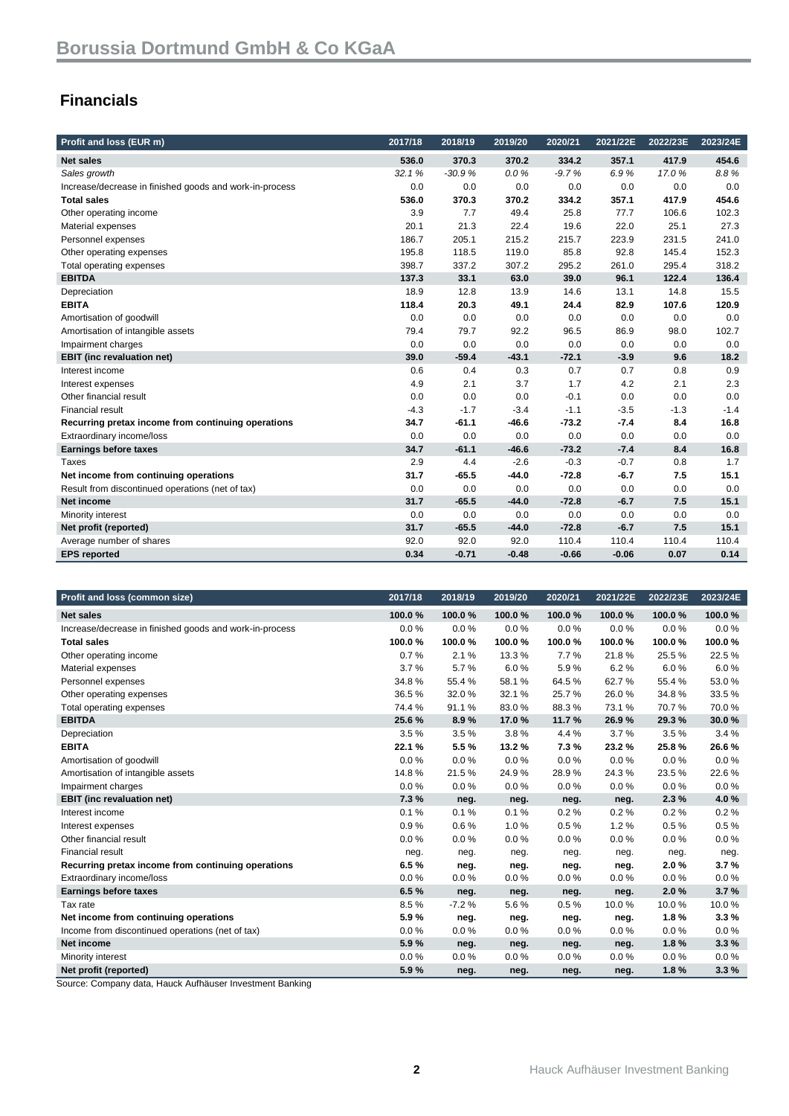### **Financials**

| Profit and loss (EUR m)                                 | 2017/18 | 2018/19  | 2019/20 | 2020/21 | 2021/22E | 2022/23E | 2023/24E |
|---------------------------------------------------------|---------|----------|---------|---------|----------|----------|----------|
| <b>Net sales</b>                                        | 536.0   | 370.3    | 370.2   | 334.2   | 357.1    | 417.9    | 454.6    |
| Sales growth                                            | 32.1%   | $-30.9%$ | 0.0%    | $-9.7%$ | 6.9%     | 17.0%    | 8.8%     |
| Increase/decrease in finished goods and work-in-process | 0.0     | 0.0      | 0.0     | 0.0     | 0.0      | 0.0      | 0.0      |
| <b>Total sales</b>                                      | 536.0   | 370.3    | 370.2   | 334.2   | 357.1    | 417.9    | 454.6    |
| Other operating income                                  | 3.9     | 7.7      | 49.4    | 25.8    | 77.7     | 106.6    | 102.3    |
| Material expenses                                       | 20.1    | 21.3     | 22.4    | 19.6    | 22.0     | 25.1     | 27.3     |
| Personnel expenses                                      | 186.7   | 205.1    | 215.2   | 215.7   | 223.9    | 231.5    | 241.0    |
| Other operating expenses                                | 195.8   | 118.5    | 119.0   | 85.8    | 92.8     | 145.4    | 152.3    |
| Total operating expenses                                | 398.7   | 337.2    | 307.2   | 295.2   | 261.0    | 295.4    | 318.2    |
| <b>EBITDA</b>                                           | 137.3   | 33.1     | 63.0    | 39.0    | 96.1     | 122.4    | 136.4    |
| Depreciation                                            | 18.9    | 12.8     | 13.9    | 14.6    | 13.1     | 14.8     | 15.5     |
| <b>EBITA</b>                                            | 118.4   | 20.3     | 49.1    | 24.4    | 82.9     | 107.6    | 120.9    |
| Amortisation of goodwill                                | 0.0     | 0.0      | 0.0     | 0.0     | 0.0      | 0.0      | 0.0      |
| Amortisation of intangible assets                       | 79.4    | 79.7     | 92.2    | 96.5    | 86.9     | 98.0     | 102.7    |
| Impairment charges                                      | 0.0     | 0.0      | 0.0     | 0.0     | 0.0      | 0.0      | 0.0      |
| <b>EBIT</b> (inc revaluation net)                       | 39.0    | $-59.4$  | $-43.1$ | $-72.1$ | $-3.9$   | 9.6      | 18.2     |
| Interest income                                         | 0.6     | 0.4      | 0.3     | 0.7     | 0.7      | 0.8      | 0.9      |
| Interest expenses                                       | 4.9     | 2.1      | 3.7     | 1.7     | 4.2      | 2.1      | 2.3      |
| Other financial result                                  | 0.0     | 0.0      | 0.0     | $-0.1$  | 0.0      | 0.0      | 0.0      |
| <b>Financial result</b>                                 | $-4.3$  | $-1.7$   | $-3.4$  | $-1.1$  | $-3.5$   | $-1.3$   | $-1.4$   |
| Recurring pretax income from continuing operations      | 34.7    | $-61.1$  | $-46.6$ | $-73.2$ | $-7.4$   | 8.4      | 16.8     |
| Extraordinary income/loss                               | 0.0     | 0.0      | 0.0     | 0.0     | 0.0      | 0.0      | 0.0      |
| <b>Earnings before taxes</b>                            | 34.7    | $-61.1$  | $-46.6$ | $-73.2$ | $-7.4$   | 8.4      | 16.8     |
| Taxes                                                   | 2.9     | 4.4      | $-2.6$  | $-0.3$  | $-0.7$   | 0.8      | 1.7      |
| Net income from continuing operations                   | 31.7    | $-65.5$  | $-44.0$ | $-72.8$ | $-6.7$   | 7.5      | 15.1     |
| Result from discontinued operations (net of tax)        | 0.0     | 0.0      | 0.0     | 0.0     | 0.0      | 0.0      | 0.0      |
| <b>Net income</b>                                       | 31.7    | $-65.5$  | $-44.0$ | $-72.8$ | $-6.7$   | 7.5      | 15.1     |
| Minority interest                                       | 0.0     | 0.0      | 0.0     | 0.0     | 0.0      | 0.0      | 0.0      |
| Net profit (reported)                                   | 31.7    | $-65.5$  | $-44.0$ | $-72.8$ | $-6.7$   | 7.5      | 15.1     |
| Average number of shares                                | 92.0    | 92.0     | 92.0    | 110.4   | 110.4    | 110.4    | 110.4    |
| <b>EPS</b> reported                                     | 0.34    | $-0.71$  | $-0.48$ | $-0.66$ | $-0.06$  | 0.07     | 0.14     |

| Profit and loss (common size)                           | 2017/18 | 2018/19 | 2019/20 | 2020/21 | 2021/22E | 2022/23E | 2023/24E |
|---------------------------------------------------------|---------|---------|---------|---------|----------|----------|----------|
| <b>Net sales</b>                                        | 100.0%  | 100.0%  | 100.0%  | 100.0%  | 100.0%   | 100.0%   | 100.0%   |
| Increase/decrease in finished goods and work-in-process | 0.0%    | 0.0%    | 0.0%    | 0.0%    | 0.0%     | 0.0%     | 0.0%     |
| <b>Total sales</b>                                      | 100.0%  | 100.0%  | 100.0%  | 100.0%  | 100.0%   | 100.0%   | 100.0%   |
| Other operating income                                  | 0.7%    | 2.1%    | 13.3%   | 7.7%    | 21.8%    | 25.5%    | 22.5%    |
| Material expenses                                       | 3.7%    | 5.7%    | 6.0%    | 5.9%    | 6.2%     | 6.0%     | 6.0%     |
| Personnel expenses                                      | 34.8%   | 55.4%   | 58.1%   | 64.5%   | 62.7%    | 55.4%    | 53.0%    |
| Other operating expenses                                | 36.5%   | 32.0%   | 32.1%   | 25.7%   | 26.0%    | 34.8%    | 33.5%    |
| Total operating expenses                                | 74.4 %  | 91.1%   | 83.0%   | 88.3%   | 73.1%    | 70.7%    | 70.0%    |
| <b>EBITDA</b>                                           | 25.6%   | 8.9%    | 17.0%   | 11.7%   | 26.9%    | 29.3%    | 30.0%    |
| Depreciation                                            | 3.5%    | 3.5%    | 3.8%    | 4.4 %   | 3.7%     | 3.5%     | 3.4%     |
| <b>EBITA</b>                                            | 22.1 %  | 5.5%    | 13.2%   | 7.3%    | 23.2%    | 25.8%    | 26.6%    |
| Amortisation of goodwill                                | 0.0%    | 0.0%    | 0.0%    | 0.0%    | 0.0%     | 0.0%     | 0.0%     |
| Amortisation of intangible assets                       | 14.8%   | 21.5%   | 24.9%   | 28.9%   | 24.3%    | 23.5%    | 22.6%    |
| Impairment charges                                      | 0.0%    | 0.0%    | 0.0%    | 0.0%    | 0.0%     | 0.0%     | 0.0%     |
| <b>EBIT</b> (inc revaluation net)                       | 7.3%    | neg.    | neg.    | neg.    | neg.     | 2.3%     | 4.0%     |
| Interest income                                         | 0.1%    | 0.1%    | 0.1%    | 0.2%    | 0.2%     | 0.2%     | 0.2%     |
| Interest expenses                                       | 0.9%    | 0.6%    | 1.0%    | 0.5%    | 1.2%     | 0.5%     | 0.5%     |
| Other financial result                                  | 0.0%    | 0.0%    | 0.0%    | 0.0%    | 0.0%     | 0.0%     | 0.0%     |
| <b>Financial result</b>                                 | neg.    | neg.    | neg.    | neg.    | neg.     | neg.     | neg.     |
| Recurring pretax income from continuing operations      | 6.5%    | neg.    | neg.    | neg.    | neg.     | 2.0%     | 3.7%     |
| Extraordinary income/loss                               | 0.0%    | 0.0%    | 0.0%    | 0.0%    | 0.0%     | 0.0%     | 0.0%     |
| <b>Earnings before taxes</b>                            | 6.5%    | neg.    | neg.    | neg.    | neg.     | 2.0%     | 3.7%     |
| Tax rate                                                | 8.5%    | $-7.2%$ | 5.6%    | 0.5%    | 10.0%    | 10.0%    | 10.0%    |
| Net income from continuing operations                   | 5.9%    | neg.    | neg.    | neg.    | neg.     | 1.8%     | 3.3%     |
| Income from discontinued operations (net of tax)        | 0.0%    | 0.0%    | 0.0%    | 0.0%    | 0.0%     | 0.0%     | 0.0%     |
| <b>Net income</b>                                       | 5.9%    | neg.    | neg.    | neg.    | neg.     | 1.8%     | 3.3%     |
| Minority interest                                       | 0.0%    | 0.0%    | 0.0%    | 0.0%    | 0.0%     | 0.0%     | 0.0%     |
| Net profit (reported)                                   | 5.9%    | neg.    | neg.    | neg.    | neg.     | 1.8%     | 3.3%     |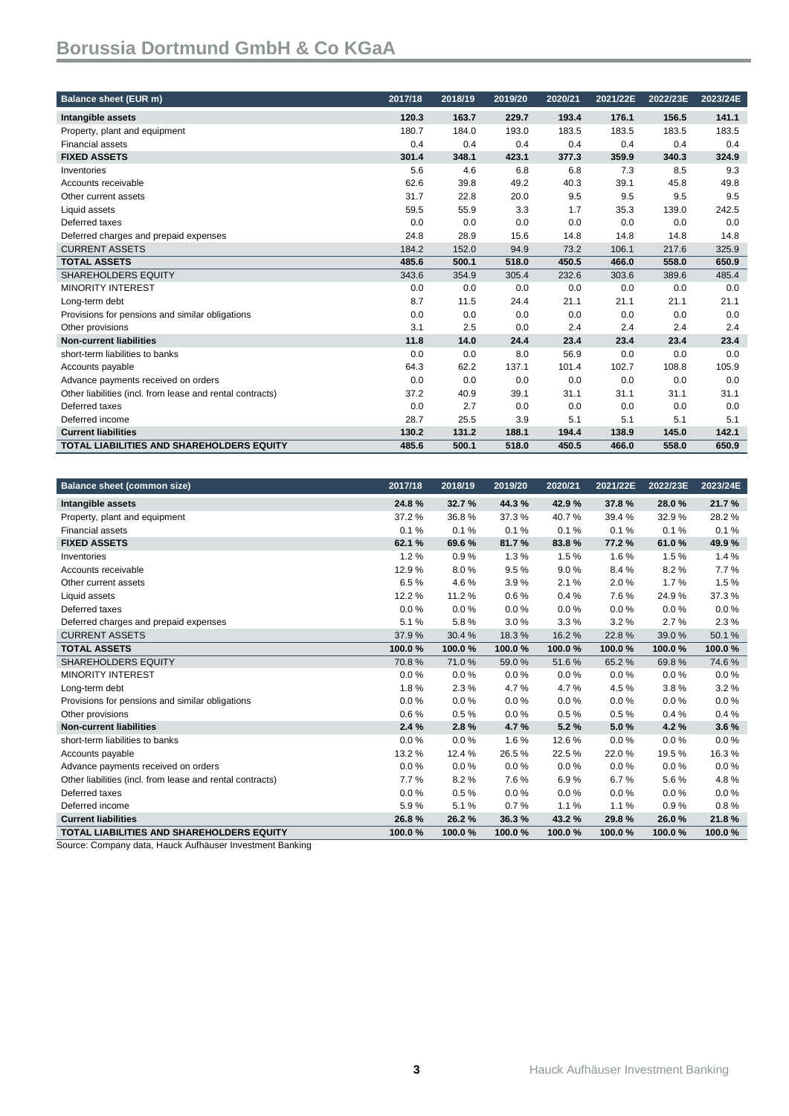| Balance sheet (EUR m)                                     | 2017/18 | 2018/19 | 2019/20 | 2020/21 | 2021/22E | 2022/23E | 2023/24E |
|-----------------------------------------------------------|---------|---------|---------|---------|----------|----------|----------|
| Intangible assets                                         | 120.3   | 163.7   | 229.7   | 193.4   | 176.1    | 156.5    | 141.1    |
| Property, plant and equipment                             | 180.7   | 184.0   | 193.0   | 183.5   | 183.5    | 183.5    | 183.5    |
| <b>Financial assets</b>                                   | 0.4     | 0.4     | 0.4     | 0.4     | 0.4      | 0.4      | 0.4      |
| <b>FIXED ASSETS</b>                                       | 301.4   | 348.1   | 423.1   | 377.3   | 359.9    | 340.3    | 324.9    |
| Inventories                                               | 5.6     | 4.6     | 6.8     | 6.8     | 7.3      | 8.5      | 9.3      |
| Accounts receivable                                       | 62.6    | 39.8    | 49.2    | 40.3    | 39.1     | 45.8     | 49.8     |
| Other current assets                                      | 31.7    | 22.8    | 20.0    | 9.5     | 9.5      | 9.5      | 9.5      |
| Liquid assets                                             | 59.5    | 55.9    | 3.3     | 1.7     | 35.3     | 139.0    | 242.5    |
| Deferred taxes                                            | 0.0     | 0.0     | 0.0     | 0.0     | 0.0      | 0.0      | 0.0      |
| Deferred charges and prepaid expenses                     | 24.8    | 28.9    | 15.6    | 14.8    | 14.8     | 14.8     | 14.8     |
| <b>CURRENT ASSETS</b>                                     | 184.2   | 152.0   | 94.9    | 73.2    | 106.1    | 217.6    | 325.9    |
| <b>TOTAL ASSETS</b>                                       | 485.6   | 500.1   | 518.0   | 450.5   | 466.0    | 558.0    | 650.9    |
| <b>SHAREHOLDERS EQUITY</b>                                | 343.6   | 354.9   | 305.4   | 232.6   | 303.6    | 389.6    | 485.4    |
| <b>MINORITY INTEREST</b>                                  | 0.0     | 0.0     | 0.0     | 0.0     | 0.0      | 0.0      | 0.0      |
| Long-term debt                                            | 8.7     | 11.5    | 24.4    | 21.1    | 21.1     | 21.1     | 21.1     |
| Provisions for pensions and similar obligations           | 0.0     | 0.0     | 0.0     | 0.0     | 0.0      | 0.0      | 0.0      |
| Other provisions                                          | 3.1     | 2.5     | 0.0     | 2.4     | 2.4      | 2.4      | 2.4      |
| <b>Non-current liabilities</b>                            | 11.8    | 14.0    | 24.4    | 23.4    | 23.4     | 23.4     | 23.4     |
| short-term liabilities to banks                           | 0.0     | 0.0     | 8.0     | 56.9    | 0.0      | 0.0      | 0.0      |
| Accounts payable                                          | 64.3    | 62.2    | 137.1   | 101.4   | 102.7    | 108.8    | 105.9    |
| Advance payments received on orders                       | 0.0     | 0.0     | 0.0     | 0.0     | 0.0      | 0.0      | 0.0      |
| Other liabilities (incl. from lease and rental contracts) | 37.2    | 40.9    | 39.1    | 31.1    | 31.1     | 31.1     | 31.1     |
| Deferred taxes                                            | 0.0     | 2.7     | 0.0     | 0.0     | 0.0      | 0.0      | 0.0      |
| Deferred income                                           | 28.7    | 25.5    | 3.9     | 5.1     | 5.1      | 5.1      | 5.1      |
| <b>Current liabilities</b>                                | 130.2   | 131.2   | 188.1   | 194.4   | 138.9    | 145.0    | 142.1    |
| <b>TOTAL LIABILITIES AND SHAREHOLDERS EQUITY</b>          | 485.6   | 500.1   | 518.0   | 450.5   | 466.0    | 558.0    | 650.9    |

| <b>Balance sheet (common size)</b>                        | 2017/18 | 2018/19 | 2019/20 | 2020/21 | 2021/22E | 2022/23E | 2023/24E |
|-----------------------------------------------------------|---------|---------|---------|---------|----------|----------|----------|
| Intangible assets                                         | 24.8%   | 32.7%   | 44.3%   | 42.9%   | 37.8%    | 28.0%    | 21.7%    |
| Property, plant and equipment                             | 37.2%   | 36.8%   | 37.3%   | 40.7%   | 39.4%    | 32.9%    | 28.2%    |
| <b>Financial assets</b>                                   | 0.1%    | 0.1%    | 0.1%    | 0.1%    | 0.1%     | 0.1%     | 0.1%     |
| <b>FIXED ASSETS</b>                                       | 62.1 %  | 69.6%   | 81.7%   | 83.8%   | 77.2%    | 61.0%    | 49.9%    |
| Inventories                                               | 1.2%    | 0.9%    | 1.3%    | 1.5%    | 1.6%     | 1.5%     | 1.4%     |
| Accounts receivable                                       | 12.9%   | 8.0%    | 9.5%    | 9.0%    | 8.4%     | 8.2%     | 7.7%     |
| Other current assets                                      | 6.5%    | 4.6%    | 3.9%    | 2.1%    | 2.0%     | 1.7%     | 1.5%     |
| Liquid assets                                             | 12.2%   | 11.2%   | 0.6%    | 0.4%    | 7.6%     | 24.9%    | 37.3%    |
| Deferred taxes                                            | 0.0%    | 0.0%    | 0.0%    | 0.0%    | 0.0%     | 0.0%     | 0.0%     |
| Deferred charges and prepaid expenses                     | 5.1%    | 5.8%    | 3.0%    | 3.3%    | 3.2%     | 2.7%     | 2.3%     |
| <b>CURRENT ASSETS</b>                                     | 37.9%   | 30.4 %  | 18.3%   | 16.2%   | 22.8%    | 39.0%    | 50.1%    |
| <b>TOTAL ASSETS</b>                                       | 100.0%  | 100.0%  | 100.0%  | 100.0%  | 100.0%   | 100.0%   | 100.0%   |
| <b>SHAREHOLDERS EQUITY</b>                                | 70.8%   | 71.0%   | 59.0%   | 51.6%   | 65.2%    | 69.8%    | 74.6%    |
| <b>MINORITY INTEREST</b>                                  | 0.0%    | $0.0\%$ | 0.0%    | 0.0%    | 0.0%     | 0.0%     | 0.0%     |
| Long-term debt                                            | 1.8%    | 2.3%    | 4.7%    | 4.7%    | 4.5 %    | 3.8%     | 3.2%     |
| Provisions for pensions and similar obligations           | 0.0%    | 0.0%    | 0.0%    | 0.0%    | 0.0%     | 0.0%     | 0.0%     |
| Other provisions                                          | 0.6%    | 0.5%    | 0.0%    | 0.5%    | 0.5%     | 0.4%     | 0.4%     |
| <b>Non-current liabilities</b>                            | 2.4%    | 2.8%    | 4.7%    | 5.2%    | 5.0%     | 4.2%     | 3.6%     |
| short-term liabilities to banks                           | 0.0%    | 0.0%    | 1.6%    | 12.6%   | 0.0%     | 0.0%     | 0.0%     |
| Accounts payable                                          | 13.2%   | 12.4 %  | 26.5%   | 22.5%   | 22.0%    | 19.5%    | 16.3%    |
| Advance payments received on orders                       | 0.0%    | $0.0\%$ | 0.0%    | 0.0%    | 0.0%     | 0.0%     | 0.0%     |
| Other liabilities (incl. from lease and rental contracts) | 7.7%    | 8.2%    | 7.6%    | 6.9%    | 6.7%     | 5.6%     | 4.8%     |
| Deferred taxes                                            | 0.0%    | 0.5%    | 0.0%    | 0.0%    | 0.0%     | 0.0%     | 0.0%     |
| Deferred income                                           | 5.9%    | 5.1%    | 0.7%    | 1.1%    | 1.1%     | 0.9%     | 0.8%     |
| <b>Current liabilities</b>                                | 26.8%   | 26.2%   | 36.3%   | 43.2%   | 29.8%    | 26.0%    | 21.8%    |
| <b>TOTAL LIABILITIES AND SHAREHOLDERS EQUITY</b>          | 100.0%  | 100.0%  | 100.0%  | 100.0%  | 100.0%   | 100.0%   | 100.0%   |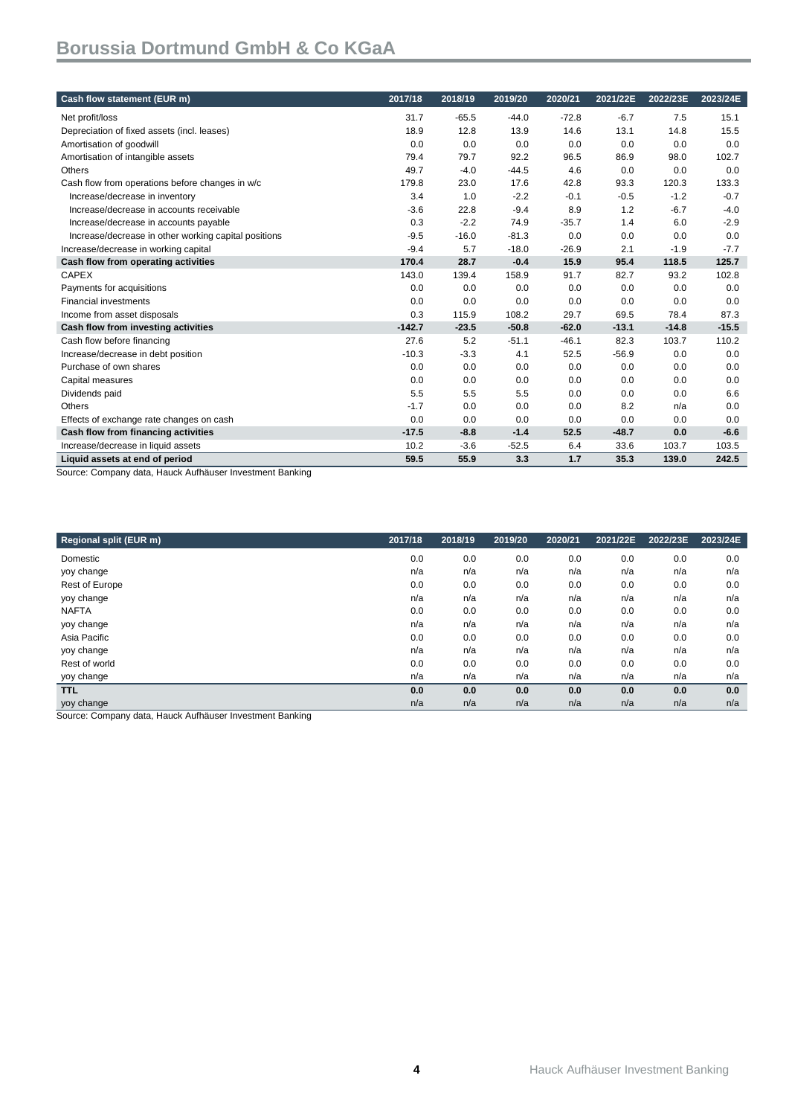| Cash flow statement (EUR m)                          | 2017/18  | 2018/19 | 2019/20 | 2020/21 | 2021/22E | 2022/23E | 2023/24E |
|------------------------------------------------------|----------|---------|---------|---------|----------|----------|----------|
| Net profit/loss                                      | 31.7     | $-65.5$ | $-44.0$ | $-72.8$ | $-6.7$   | 7.5      | 15.1     |
| Depreciation of fixed assets (incl. leases)          | 18.9     | 12.8    | 13.9    | 14.6    | 13.1     | 14.8     | 15.5     |
| Amortisation of goodwill                             | 0.0      | 0.0     | 0.0     | 0.0     | 0.0      | 0.0      | 0.0      |
| Amortisation of intangible assets                    | 79.4     | 79.7    | 92.2    | 96.5    | 86.9     | 98.0     | 102.7    |
| Others                                               | 49.7     | $-4.0$  | $-44.5$ | 4.6     | 0.0      | 0.0      | 0.0      |
| Cash flow from operations before changes in w/c      | 179.8    | 23.0    | 17.6    | 42.8    | 93.3     | 120.3    | 133.3    |
| Increase/decrease in inventory                       | 3.4      | 1.0     | $-2.2$  | $-0.1$  | $-0.5$   | $-1.2$   | $-0.7$   |
| Increase/decrease in accounts receivable             | $-3.6$   | 22.8    | $-9.4$  | 8.9     | 1.2      | $-6.7$   | $-4.0$   |
| Increase/decrease in accounts payable                | 0.3      | $-2.2$  | 74.9    | $-35.7$ | 1.4      | 6.0      | $-2.9$   |
| Increase/decrease in other working capital positions | $-9.5$   | $-16.0$ | $-81.3$ | 0.0     | 0.0      | 0.0      | 0.0      |
| Increase/decrease in working capital                 | $-9.4$   | 5.7     | $-18.0$ | $-26.9$ | 2.1      | $-1.9$   | $-7.7$   |
| Cash flow from operating activities                  | 170.4    | 28.7    | $-0.4$  | 15.9    | 95.4     | 118.5    | 125.7    |
| <b>CAPEX</b>                                         | 143.0    | 139.4   | 158.9   | 91.7    | 82.7     | 93.2     | 102.8    |
| Payments for acquisitions                            | 0.0      | 0.0     | 0.0     | 0.0     | 0.0      | 0.0      | 0.0      |
| <b>Financial investments</b>                         | 0.0      | 0.0     | 0.0     | 0.0     | 0.0      | 0.0      | 0.0      |
| Income from asset disposals                          | 0.3      | 115.9   | 108.2   | 29.7    | 69.5     | 78.4     | 87.3     |
| Cash flow from investing activities                  | $-142.7$ | $-23.5$ | $-50.8$ | $-62.0$ | $-13.1$  | $-14.8$  | $-15.5$  |
| Cash flow before financing                           | 27.6     | 5.2     | $-51.1$ | $-46.1$ | 82.3     | 103.7    | 110.2    |
| Increase/decrease in debt position                   | $-10.3$  | $-3.3$  | 4.1     | 52.5    | $-56.9$  | 0.0      | 0.0      |
| Purchase of own shares                               | 0.0      | 0.0     | 0.0     | 0.0     | 0.0      | 0.0      | 0.0      |
| Capital measures                                     | 0.0      | 0.0     | 0.0     | 0.0     | 0.0      | 0.0      | 0.0      |
| Dividends paid                                       | 5.5      | 5.5     | 5.5     | 0.0     | 0.0      | 0.0      | 6.6      |
| Others                                               | $-1.7$   | 0.0     | 0.0     | 0.0     | 8.2      | n/a      | 0.0      |
| Effects of exchange rate changes on cash             | 0.0      | 0.0     | 0.0     | 0.0     | 0.0      | 0.0      | 0.0      |
| Cash flow from financing activities                  | $-17.5$  | $-8.8$  | $-1.4$  | 52.5    | $-48.7$  | 0.0      | $-6.6$   |
| Increase/decrease in liquid assets                   | 10.2     | $-3.6$  | $-52.5$ | 6.4     | 33.6     | 103.7    | 103.5    |
| Liquid assets at end of period                       | 59.5     | 55.9    | 3.3     | 1.7     | 35.3     | 139.0    | 242.5    |

Source: Company data, Hauck Aufhäuser Investment Banking

| 2017/18 | 2018/19 | 2019/20 | 2020/21 | 2021/22E | 2022/23E | 2023/24E |
|---------|---------|---------|---------|----------|----------|----------|
| 0.0     | 0.0     | 0.0     | 0.0     | 0.0      | 0.0      | 0.0      |
| n/a     | n/a     | n/a     | n/a     | n/a      | n/a      | n/a      |
| 0.0     | 0.0     | 0.0     | 0.0     | 0.0      | 0.0      | 0.0      |
| n/a     | n/a     | n/a     | n/a     | n/a      | n/a      | n/a      |
| 0.0     | 0.0     | 0.0     | 0.0     | 0.0      | 0.0      | 0.0      |
| n/a     | n/a     | n/a     | n/a     | n/a      | n/a      | n/a      |
| 0.0     | 0.0     | 0.0     | 0.0     | 0.0      | 0.0      | 0.0      |
| n/a     | n/a     | n/a     | n/a     | n/a      | n/a      | n/a      |
| 0.0     | 0.0     | 0.0     | 0.0     | 0.0      | 0.0      | 0.0      |
| n/a     | n/a     | n/a     | n/a     | n/a      | n/a      | n/a      |
| 0.0     | 0.0     | 0.0     | 0.0     | 0.0      | 0.0      | 0.0      |
| n/a     | n/a     | n/a     | n/a     | n/a      | n/a      | n/a      |
|         |         |         |         |          |          |          |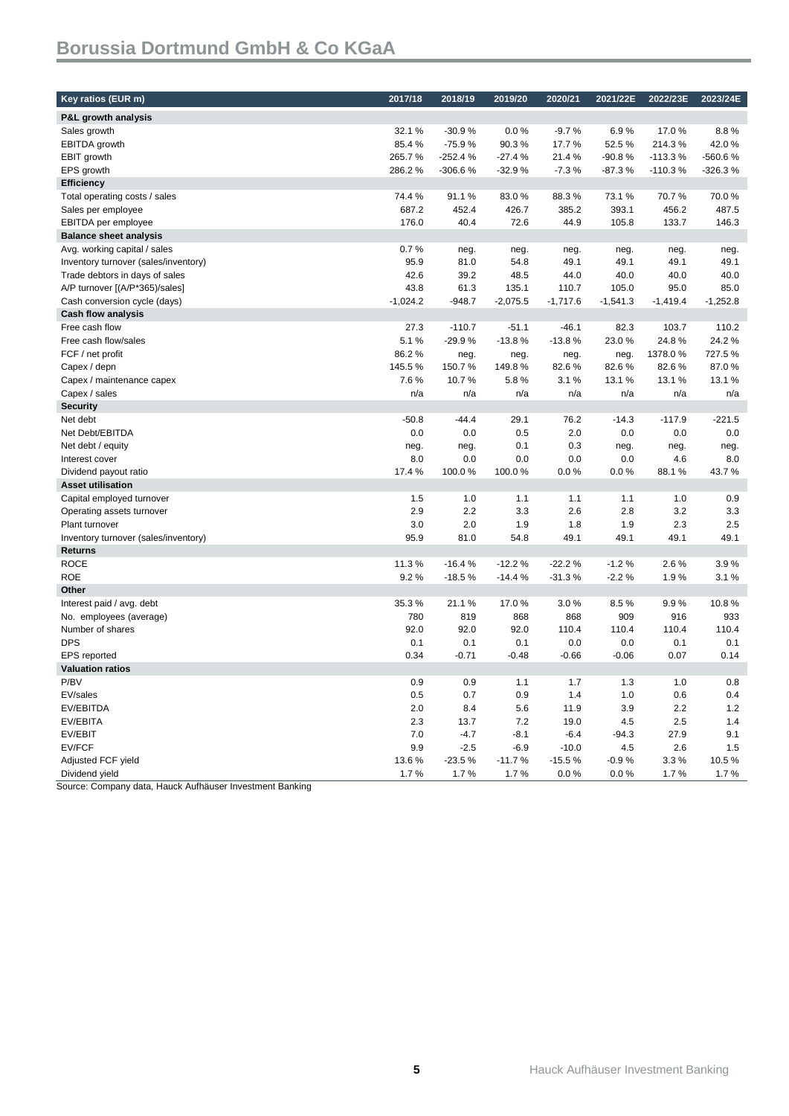| Key ratios (EUR m)                   | 2017/18    | 2018/19   | 2019/20    | 2020/21    | 2021/22E   | 2022/23E   | 2023/24E   |
|--------------------------------------|------------|-----------|------------|------------|------------|------------|------------|
| P&L growth analysis                  |            |           |            |            |            |            |            |
| Sales growth                         | 32.1%      | $-30.9%$  | 0.0%       | $-9.7%$    | 6.9%       | 17.0%      | 8.8%       |
| EBITDA growth                        | 85.4%      | $-75.9%$  | 90.3%      | 17.7%      | 52.5%      | 214.3%     | 42.0%      |
| <b>EBIT growth</b>                   | 265.7%     | $-252.4%$ | $-27.4%$   | 21.4%      | $-90.8%$   | $-113.3%$  | -560.6%    |
| EPS growth                           | 286.2%     | -306.6%   | $-32.9%$   | $-7.3%$    | $-87.3%$   | $-110.3%$  | $-326.3%$  |
| <b>Efficiency</b>                    |            |           |            |            |            |            |            |
| Total operating costs / sales        | 74.4%      | 91.1%     | 83.0%      | 88.3%      | 73.1%      | 70.7%      | 70.0%      |
| Sales per employee                   | 687.2      | 452.4     | 426.7      | 385.2      | 393.1      | 456.2      | 487.5      |
| EBITDA per employee                  | 176.0      | 40.4      | 72.6       | 44.9       | 105.8      | 133.7      | 146.3      |
| <b>Balance sheet analysis</b>        |            |           |            |            |            |            |            |
| Avg. working capital / sales         | 0.7%       | neg.      | neg.       | neg.       | neg.       | neg.       | neg.       |
| Inventory turnover (sales/inventory) | 95.9       | 81.0      | 54.8       | 49.1       | 49.1       | 49.1       | 49.1       |
| Trade debtors in days of sales       | 42.6       | 39.2      | 48.5       | 44.0       | 40.0       | 40.0       | 40.0       |
| A/P turnover [(A/P*365)/sales]       | 43.8       | 61.3      | 135.1      | 110.7      | 105.0      | 95.0       | 85.0       |
| Cash conversion cycle (days)         | $-1,024.2$ | $-948.7$  | $-2,075.5$ | $-1,717.6$ | $-1,541.3$ | $-1,419.4$ | $-1,252.8$ |
| <b>Cash flow analysis</b>            |            |           |            |            |            |            |            |
| Free cash flow                       | 27.3       | $-110.7$  | $-51.1$    | $-46.1$    | 82.3       | 103.7      | 110.2      |
| Free cash flow/sales                 | 5.1%       | $-29.9%$  | $-13.8%$   | $-13.8%$   | 23.0%      | 24.8%      | 24.2%      |
| FCF / net profit                     | 86.2%      | neg.      | neg.       | neg.       | neg.       | 1378.0%    | 727.5%     |
| Capex / depn                         | 145.5%     | 150.7%    | 149.8%     | 82.6%      | 82.6%      | 82.6%      | 87.0%      |
| Capex / maintenance capex            | 7.6%       | 10.7%     | 5.8%       | 3.1%       | 13.1%      | 13.1%      | 13.1%      |
| Capex / sales                        | n/a        | n/a       | n/a        | n/a        | n/a        | n/a        | n/a        |
| <b>Security</b>                      |            |           |            |            |            |            |            |
| Net debt                             | $-50.8$    | $-44.4$   | 29.1       | 76.2       | $-14.3$    | $-117.9$   | $-221.5$   |
| Net Debt/EBITDA                      | 0.0        | 0.0       | 0.5        | 2.0        | 0.0        | 0.0        | 0.0        |
| Net debt / equity                    | neg.       | neg.      | 0.1        | 0.3        | neg.       | neg.       | neg.       |
| Interest cover                       | 8.0        | 0.0       | 0.0        | 0.0        | 0.0        | 4.6        | 8.0        |
| Dividend payout ratio                | 17.4 %     | 100.0%    | 100.0%     | 0.0%       | 0.0%       | 88.1%      | 43.7%      |
| <b>Asset utilisation</b>             |            |           |            |            |            |            |            |
| Capital employed turnover            | 1.5        | 1.0       | 1.1        | 1.1        | 1.1        | 1.0        | 0.9        |
| Operating assets turnover            | 2.9        | 2.2       | 3.3        | 2.6        | 2.8        | 3.2        | 3.3        |
| Plant turnover                       | 3.0        | 2.0       | 1.9        | 1.8        | 1.9        | 2.3        | 2.5        |
| Inventory turnover (sales/inventory) | 95.9       | 81.0      | 54.8       | 49.1       | 49.1       | 49.1       | 49.1       |
| <b>Returns</b>                       |            |           |            |            |            |            |            |
| <b>ROCE</b>                          | 11.3%      | $-16.4%$  | $-12.2%$   | $-22.2%$   | $-1.2%$    | 2.6%       | 3.9%       |
| <b>ROE</b>                           | 9.2%       | $-18.5%$  | $-14.4%$   | $-31.3%$   | $-2.2%$    | 1.9%       | 3.1%       |
| Other                                |            |           |            |            |            |            |            |
| Interest paid / avg. debt            | 35.3%      | 21.1%     | 17.0%      | 3.0%       | 8.5%       | 9.9%       | 10.8%      |
| No. employees (average)              | 780        | 819       | 868        | 868        | 909        | 916        | 933        |
| Number of shares                     | 92.0       | 92.0      | 92.0       | 110.4      | 110.4      | 110.4      | 110.4      |
| <b>DPS</b>                           | 0.1        | 0.1       | 0.1        | 0.0        | 0.0        | 0.1        | 0.1        |
| <b>EPS</b> reported                  | 0.34       | $-0.71$   | $-0.48$    | $-0.66$    | $-0.06$    | 0.07       | 0.14       |
| <b>Valuation ratios</b>              |            |           |            |            |            |            |            |
| P/BV                                 | 0.9        | 0.9       | 1.1        | 1.7        | 1.3        | 1.0        | 0.8        |
| EV/sales                             | 0.5        | 0.7       | 0.9        | 1.4        | 1.0        | 0.6        | 0.4        |
| EV/EBITDA                            | 2.0        | 8.4       | 5.6        | 11.9       | 3.9        | 2.2        | 1.2        |
| EV/EBITA                             | 2.3        | 13.7      | 7.2        | 19.0       | 4.5        | 2.5        | 1.4        |
| EV/EBIT                              | 7.0        | $-4.7$    | $-8.1$     | $-6.4$     | $-94.3$    | 27.9       | 9.1        |
| EV/FCF                               | 9.9        | $-2.5$    | $-6.9$     | $-10.0$    | 4.5        | 2.6        | 1.5        |
| Adjusted FCF yield                   | 13.6%      | $-23.5%$  | $-11.7%$   | $-15.5%$   | $-0.9%$    | 3.3%       | 10.5%      |
| Dividend yield                       | 1.7%       | 1.7%      | 1.7%       | 0.0%       | 0.0%       | 1.7%       | 1.7%       |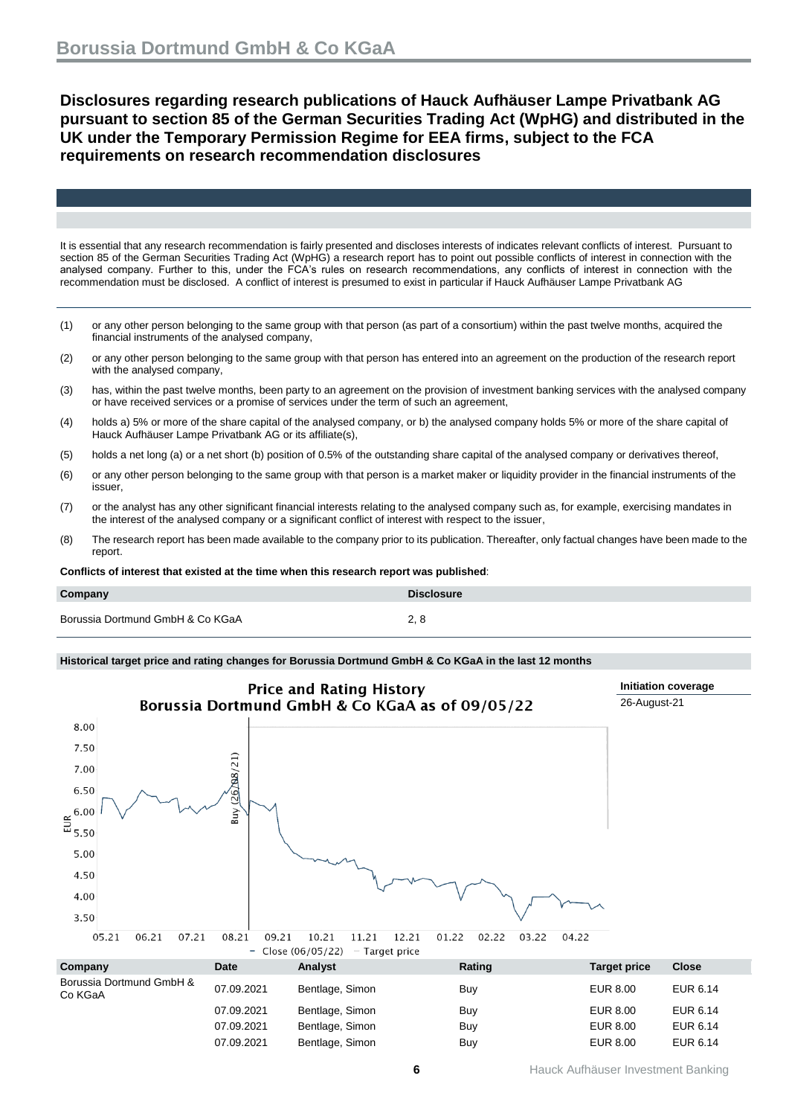**Disclosures regarding research publications of Hauck Aufhäuser Lampe Privatbank AG pursuant to section 85 of the German Securities Trading Act (WpHG) and distributed in the UK under the Temporary Permission Regime for EEA firms, subject to the FCA requirements on research recommendation disclosures**

It is essential that any research recommendation is fairly presented and discloses interests of indicates relevant conflicts of interest. Pursuant to section 85 of the German Securities Trading Act (WpHG) a research report has to point out possible conflicts of interest in connection with the analysed company. Further to this, under the FCA's rules on research recommendations, any conflicts of interest in connection with the recommendation must be disclosed. A conflict of interest is presumed to exist in particular if Hauck Aufhäuser Lampe Privatbank AG

- (1) or any other person belonging to the same group with that person (as part of a consortium) within the past twelve months, acquired the financial instruments of the analysed company,
- (2) or any other person belonging to the same group with that person has entered into an agreement on the production of the research report with the analysed company,
- (3) has, within the past twelve months, been party to an agreement on the provision of investment banking services with the analysed company or have received services or a promise of services under the term of such an agreement,
- (4) holds a) 5% or more of the share capital of the analysed company, or b) the analysed company holds 5% or more of the share capital of Hauck Aufhäuser Lampe Privatbank AG or its affiliate(s),
- (5) holds a net long (a) or a net short (b) position of 0.5% of the outstanding share capital of the analysed company or derivatives thereof,
- (6) or any other person belonging to the same group with that person is a market maker or liquidity provider in the financial instruments of the issuer,
- (7) or the analyst has any other significant financial interests relating to the analysed company such as, for example, exercising mandates in the interest of the analysed company or a significant conflict of interest with respect to the issuer,
- (8) The research report has been made available to the company prior to its publication. Thereafter, only factual changes have been made to the report.

**Conflicts of interest that existed at the time when this research report was published**:

| Company                          | <b>Disclosure</b> |
|----------------------------------|-------------------|
| Borussia Dortmund GmbH & Co KGaA | 2, 8              |

#### **Historical target price and rating changes for Borussia Dortmund GmbH & Co KGaA in the last 12 months**

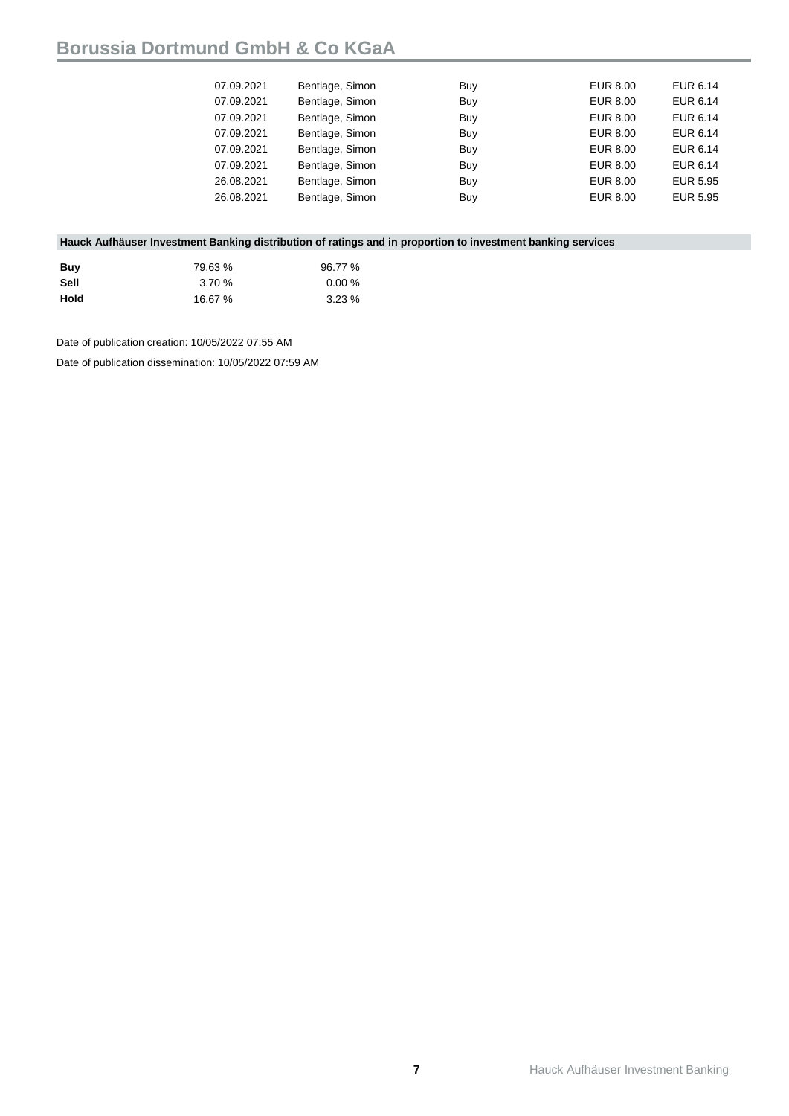| 07.09.2021 | Bentlage, Simon | Buy | EUR 8.00 | EUR 6.14 |
|------------|-----------------|-----|----------|----------|
| 07.09.2021 | Bentlage, Simon | Buy | EUR 8.00 | EUR 6.14 |
| 07.09.2021 | Bentlage, Simon | Buy | EUR 8.00 | EUR 6.14 |
| 07.09.2021 | Bentlage, Simon | Buy | EUR 8.00 | EUR 6.14 |
| 07.09.2021 | Bentlage, Simon | Buy | EUR 8.00 | EUR 6.14 |
| 07.09.2021 | Bentlage, Simon | Buy | EUR 8.00 | EUR 6.14 |
| 26.08.2021 | Bentlage, Simon | Buy | EUR 8.00 | EUR 5.95 |
| 26.08.2021 | Bentlage, Simon | Buy | EUR 8.00 | EUR 5.95 |
|            |                 |     |          |          |

#### **Hauck Aufhäuser Investment Banking distribution of ratings and in proportion to investment banking services**

| Buv  | 79.63 % | 96.77 % |
|------|---------|---------|
| Sell | 3.70%   | 0.00%   |
| Hold | 16.67%  | 3.23%   |

Date of publication creation: 10/05/2022 07:55 AM

Date of publication dissemination: 10/05/2022 07:59 AM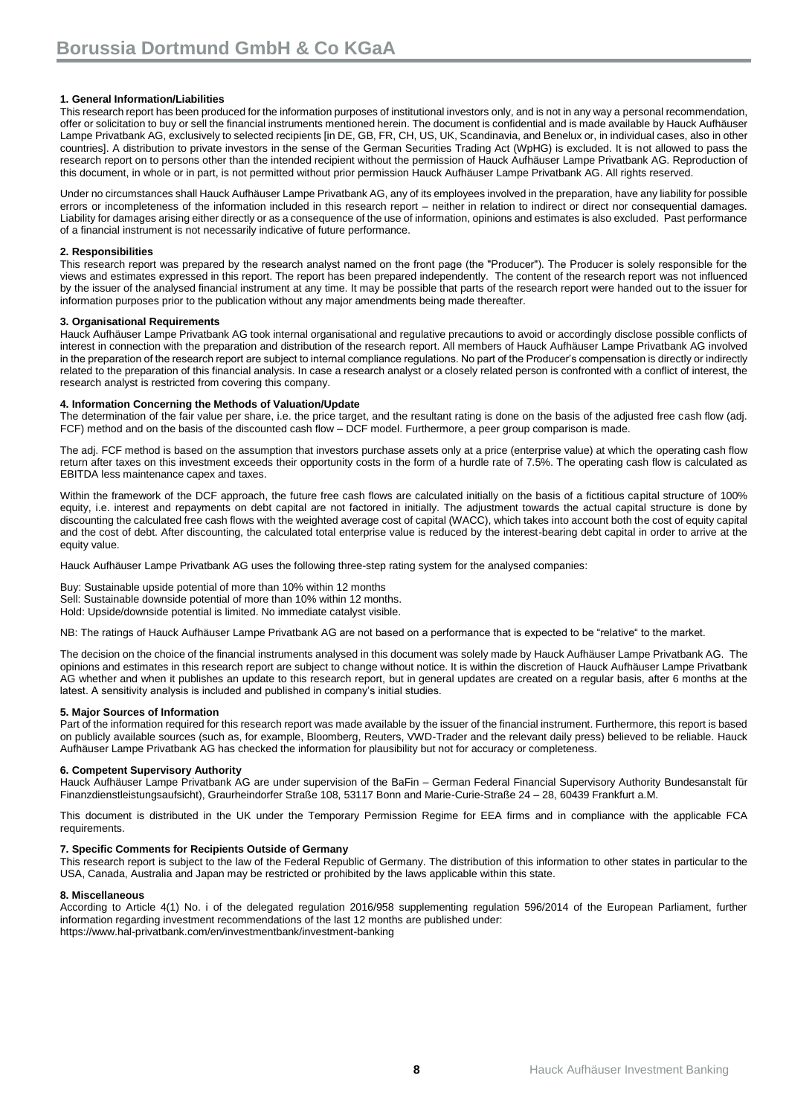#### **1. General Information/Liabilities**

This research report has been produced for the information purposes of institutional investors only, and is not in any way a personal recommendation, offer or solicitation to buy or sell the financial instruments mentioned herein. The document is confidential and is made available by Hauck Aufhäuser Lampe Privatbank AG, exclusively to selected recipients [in DE, GB, FR, CH, US, UK, Scandinavia, and Benelux or, in individual cases, also in other countries]. A distribution to private investors in the sense of the German Securities Trading Act (WpHG) is excluded. It is not allowed to pass the research report on to persons other than the intended recipient without the permission of Hauck Aufhäuser Lampe Privatbank AG. Reproduction of this document, in whole or in part, is not permitted without prior permission Hauck Aufhäuser Lampe Privatbank AG. All rights reserved.

Under no circumstances shall Hauck Aufhäuser Lampe Privatbank AG, any of its employees involved in the preparation, have any liability for possible errors or incompleteness of the information included in this research report – neither in relation to indirect or direct nor consequential damages. Liability for damages arising either directly or as a consequence of the use of information, opinions and estimates is also excluded. Past performance of a financial instrument is not necessarily indicative of future performance.

#### **2. Responsibilities**

This research report was prepared by the research analyst named on the front page (the "Producer"). The Producer is solely responsible for the views and estimates expressed in this report. The report has been prepared independently. The content of the research report was not influenced by the issuer of the analysed financial instrument at any time. It may be possible that parts of the research report were handed out to the issuer for information purposes prior to the publication without any major amendments being made thereafter.

#### **3. Organisational Requirements**

Hauck Aufhäuser Lampe Privatbank AG took internal organisational and regulative precautions to avoid or accordingly disclose possible conflicts of interest in connection with the preparation and distribution of the research report. All members of Hauck Aufhäuser Lampe Privatbank AG involved in the preparation of the research report are subject to internal compliance regulations. No part of the Producer's compensation is directly or indirectly related to the preparation of this financial analysis. In case a research analyst or a closely related person is confronted with a conflict of interest, the research analyst is restricted from covering this company.

#### **4. Information Concerning the Methods of Valuation/Update**

The determination of the fair value per share, i.e. the price target, and the resultant rating is done on the basis of the adjusted free cash flow (adj. FCF) method and on the basis of the discounted cash flow – DCF model. Furthermore, a peer group comparison is made.

The adj. FCF method is based on the assumption that investors purchase assets only at a price (enterprise value) at which the operating cash flow return after taxes on this investment exceeds their opportunity costs in the form of a hurdle rate of 7.5%. The operating cash flow is calculated as EBITDA less maintenance capex and taxes.

Within the framework of the DCF approach, the future free cash flows are calculated initially on the basis of a fictitious capital structure of 100% equity, i.e. interest and repayments on debt capital are not factored in initially. The adjustment towards the actual capital structure is done by discounting the calculated free cash flows with the weighted average cost of capital (WACC), which takes into account both the cost of equity capital and the cost of debt. After discounting, the calculated total enterprise value is reduced by the interest-bearing debt capital in order to arrive at the equity value.

Hauck Aufhäuser Lampe Privatbank AG uses the following three-step rating system for the analysed companies:

Buy: Sustainable upside potential of more than 10% within 12 months Sell: Sustainable downside potential of more than 10% within 12 months.

Hold: Upside/downside potential is limited. No immediate catalyst visible.

NB: The ratings of Hauck Aufhäuser Lampe Privatbank AG are not based on a performance that is expected to be "relative" to the market.

The decision on the choice of the financial instruments analysed in this document was solely made by Hauck Aufhäuser Lampe Privatbank AG. The opinions and estimates in this research report are subject to change without notice. It is within the discretion of Hauck Aufhäuser Lampe Privatbank AG whether and when it publishes an update to this research report, but in general updates are created on a regular basis, after 6 months at the latest. A sensitivity analysis is included and published in company's initial studies.

#### **5. Major Sources of Information**

Part of the information required for this research report was made available by the issuer of the financial instrument. Furthermore, this report is based on publicly available sources (such as, for example, Bloomberg, Reuters, VWD-Trader and the relevant daily press) believed to be reliable. Hauck Aufhäuser Lampe Privatbank AG has checked the information for plausibility but not for accuracy or completeness.

#### **6. Competent Supervisory Authority**

Hauck Aufhäuser Lampe Privatbank AG are under supervision of the BaFin – German Federal Financial Supervisory Authority Bundesanstalt für Finanzdienstleistungsaufsicht), Graurheindorfer Straße 108, 53117 Bonn and Marie-Curie-Straße 24 – 28, 60439 Frankfurt a.M.

This document is distributed in the UK under the Temporary Permission Regime for EEA firms and in compliance with the applicable FCA requirements.

#### **7. Specific Comments for Recipients Outside of Germany**

This research report is subject to the law of the Federal Republic of Germany. The distribution of this information to other states in particular to the USA, Canada, Australia and Japan may be restricted or prohibited by the laws applicable within this state.

#### **8. Miscellaneous**

According to Article 4(1) No. i of the delegated regulation 2016/958 supplementing regulation 596/2014 of the European Parliament, further information regarding investment recommendations of the last 12 months are published under: <https://www.hal-privatbank.com/en/investmentbank/investment-banking>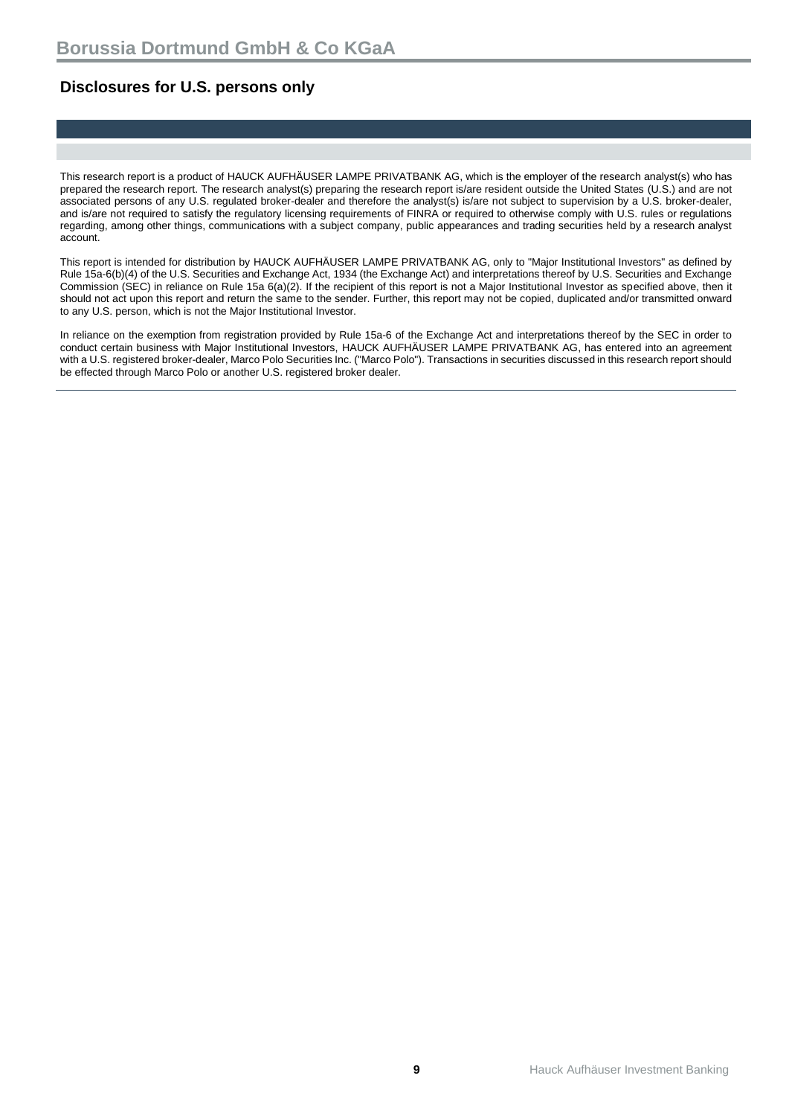### **Disclosures for U.S. persons only**

This research report is a product of HAUCK AUFHÄUSER LAMPE PRIVATBANK AG, which is the employer of the research analyst(s) who has prepared the research report. The research analyst(s) preparing the research report is/are resident outside the United States (U.S.) and are not associated persons of any U.S. regulated broker-dealer and therefore the analyst(s) is/are not subject to supervision by a U.S. broker-dealer, and is/are not required to satisfy the regulatory licensing requirements of FINRA or required to otherwise comply with U.S. rules or regulations regarding, among other things, communications with a subject company, public appearances and trading securities held by a research analyst account.

This report is intended for distribution by HAUCK AUFHÄUSER LAMPE PRIVATBANK AG, only to "Major Institutional Investors" as defined by Rule 15a-6(b)(4) of the U.S. Securities and Exchange Act, 1934 (the Exchange Act) and interpretations thereof by U.S. Securities and Exchange Commission (SEC) in reliance on Rule 15a 6(a)(2). If the recipient of this report is not a Major Institutional Investor as specified above, then it should not act upon this report and return the same to the sender. Further, this report may not be copied, duplicated and/or transmitted onward to any U.S. person, which is not the Major Institutional Investor.

In reliance on the exemption from registration provided by Rule 15a-6 of the Exchange Act and interpretations thereof by the SEC in order to conduct certain business with Major Institutional Investors, HAUCK AUFHÄUSER LAMPE PRIVATBANK AG, has entered into an agreement with a U.S. registered broker-dealer, Marco Polo Securities Inc. ("Marco Polo"). Transactions in securities discussed in this research report should be effected through Marco Polo or another U.S. registered broker dealer.